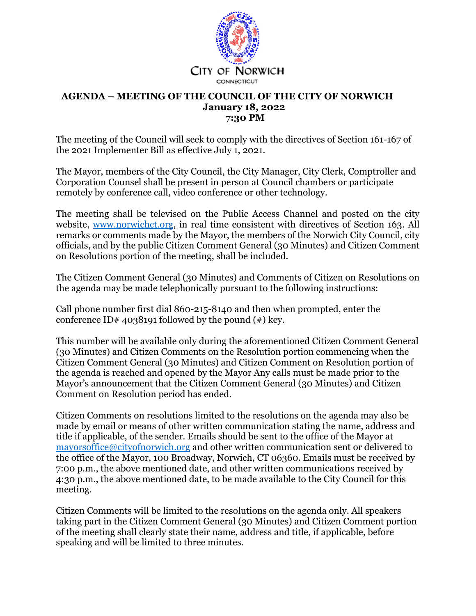

#### **AGENDA – MEETING OF THE COUNCIL OF THE CITY OF NORWICH January 18, 2022 7:30 PM**

The meeting of the Council will seek to comply with the directives of Section 161-167 of the 2021 Implementer Bill as effective July 1, 2021.

The Mayor, members of the City Council, the City Manager, City Clerk, Comptroller and Corporation Counsel shall be present in person at Council chambers or participate remotely by conference call, video conference or other technology.

The meeting shall be televised on the Public Access Channel and posted on the city website, www.norwichct.org, in real time consistent with directives of Section 163. All remarks or comments made by the Mayor, the members of the Norwich City Council, city officials, and by the public Citizen Comment General (30 Minutes) and Citizen Comment on Resolutions portion of the meeting, shall be included.

The Citizen Comment General (30 Minutes) and Comments of Citizen on Resolutions on the agenda may be made telephonically pursuant to the following instructions:

Call phone number first dial 860-215-8140 and then when prompted, enter the conference ID# 4038191 followed by the pound  $(*)$  key.

This number will be available only during the aforementioned Citizen Comment General (30 Minutes) and Citizen Comments on the Resolution portion commencing when the Citizen Comment General (30 Minutes) and Citizen Comment on Resolution portion of the agenda is reached and opened by the Mayor Any calls must be made prior to the Mayor's announcement that the Citizen Comment General (30 Minutes) and Citizen Comment on Resolution period has ended.

Citizen Comments on resolutions limited to the resolutions on the agenda may also be made by email or means of other written communication stating the name, address and title if applicable, of the sender. Emails should be sent to the office of the Mayor at mayorsoffice@cityofnorwich.org and other written communication sent or delivered to the office of the Mayor, 100 Broadway, Norwich, CT 06360. Emails must be received by 7:00 p.m., the above mentioned date, and other written communications received by 4:30 p.m., the above mentioned date, to be made available to the City Council for this meeting.

Citizen Comments will be limited to the resolutions on the agenda only. All speakers taking part in the Citizen Comment General (30 Minutes) and Citizen Comment portion of the meeting shall clearly state their name, address and title, if applicable, before speaking and will be limited to three minutes.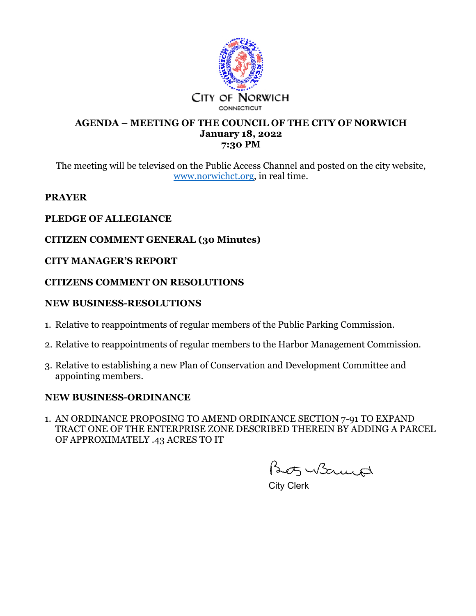

#### **AGENDA – MEETING OF THE COUNCIL OF THE CITY OF NORWICH January 18, 2022 7:30 PM**

The meeting will be televised on the Public Access Channel and posted on the city website, www.norwichct.org, in real time.

#### **PRAYER**

# **PLEDGE OF ALLEGIANCE**

# **CITIZEN COMMENT GENERAL (30 Minutes)**

## **CITY MANAGER'S REPORT**

## **CITIZENS COMMENT ON RESOLUTIONS**

## **NEW BUSINESS-RESOLUTIONS**

- 1. Relative to reappointments of regular members of the Public Parking Commission.
- 2. Relative to reappointments of regular members to the Harbor Management Commission.
- 3. Relative to establishing a new Plan of Conservation and Development Committee and appointing members.

## **NEW BUSINESS-ORDINANCE**

1. AN ORDINANCE PROPOSING TO AMEND ORDINANCE SECTION 7-91 TO EXPAND TRACT ONE OF THE ENTERPRISE ZONE DESCRIBED THEREIN BY ADDING A PARCEL OF APPROXIMATELY .43 ACRES TO IT

Beotz Witnesd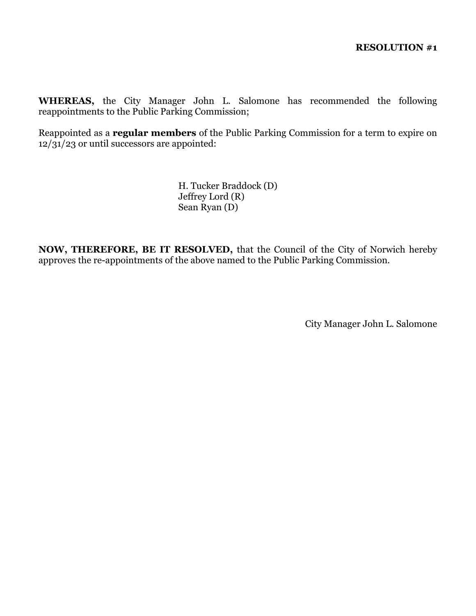**WHEREAS,** the City Manager John L. Salomone has recommended the following reappointments to the Public Parking Commission;

Reappointed as a **regular members** of the Public Parking Commission for a term to expire on  $12/31/23$  or until successors are appointed:

> H. Tucker Braddock (D) Jeffrey Lord (R) Sean Ryan (D)

**NOW, THEREFORE, BE IT RESOLVED,** that the Council of the City of Norwich hereby approves the re-appointments of the above named to the Public Parking Commission.

City Manager John L. Salomone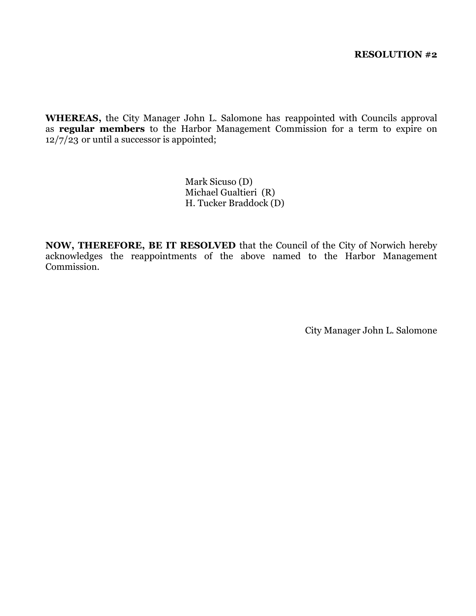**WHEREAS,** the City Manager John L. Salomone has reappointed with Councils approval as **regular members** to the Harbor Management Commission for a term to expire on  $12/7/23$  or until a successor is appointed;

> Mark Sicuso (D) Michael Gualtieri (R) H. Tucker Braddock (D)

**NOW, THEREFORE, BE IT RESOLVED** that the Council of the City of Norwich hereby acknowledges the reappointments of the above named to the Harbor Management Commission.

City Manager John L. Salomone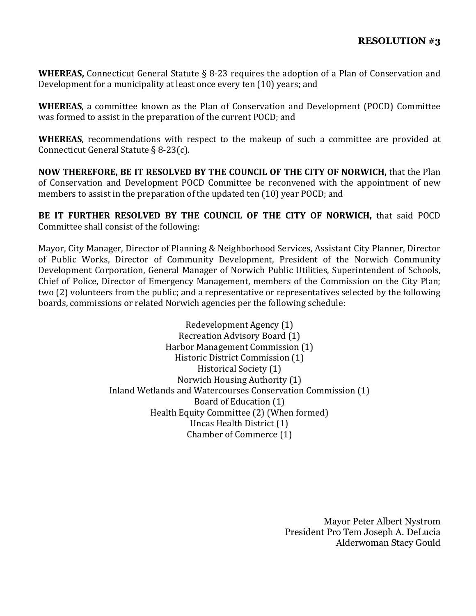**WHEREAS,** Connecticut General Statute § 8-23 requires the adoption of a Plan of Conservation and Development for a municipality at least once every ten (10) years; and

**WHEREAS**, a committee known as the Plan of Conservation and Development (POCD) Committee was formed to assist in the preparation of the current POCD; and

**WHEREAS**, recommendations with respect to the makeup of such a committee are provided at Connecticut General Statute § 8-23(c).

**NOW THEREFORE, BE IT RESOLVED BY THE COUNCIL OF THE CITY OF NORWICH,** that the Plan of Conservation and Development POCD Committee be reconvened with the appointment of new members to assist in the preparation of the updated ten (10) year POCD; and

**BE IT FURTHER RESOLVED BY THE COUNCIL OF THE CITY OF NORWICH,** that said POCD Committee shall consist of the following:

Mayor, City Manager, Director of Planning & Neighborhood Services, Assistant City Planner, Director of Public Works, Director of Community Development, President of the Norwich Community Development Corporation, General Manager of Norwich Public Utilities, Superintendent of Schools, Chief of Police, Director of Emergency Management, members of the Commission on the City Plan; two (2) volunteers from the public; and a representative or representatives selected by the following boards, commissions or related Norwich agencies per the following schedule:

> Redevelopment Agency (1) Recreation Advisory Board (1) Harbor Management Commission (1) Historic District Commission (1) Historical Society (1) Norwich Housing Authority (1) Inland Wetlands and Watercourses Conservation Commission (1) Board of Education (1) Health Equity Committee (2) (When formed) Uncas Health District (1) Chamber of Commerce (1)

> > Mayor Peter Albert Nystrom President Pro Tem Joseph A. DeLucia Alderwoman Stacy Gould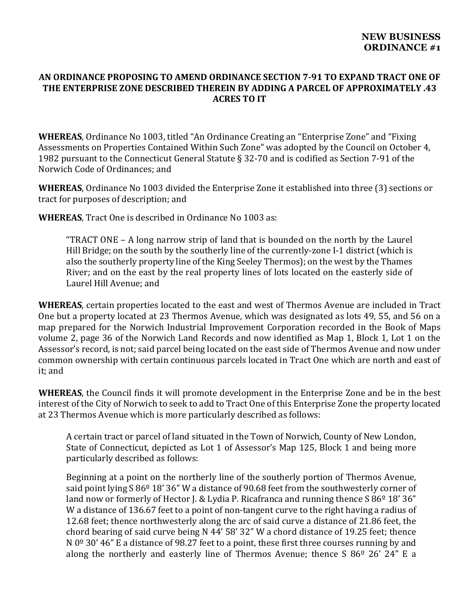#### **AN ORDINANCE PROPOSING TO AMEND ORDINANCE SECTION 7‐91 TO EXPAND TRACT ONE OF THE ENTERPRISE ZONE DESCRIBED THEREIN BY ADDING A PARCEL OF APPROXIMATELY .43 ACRES TO IT**

**WHEREAS**, Ordinance No 1003, titled "An Ordinance Creating an "Enterprise Zone" and "Fixing Assessments on Properties Contained Within Such Zone" was adopted by the Council on October 4, 1982 pursuant to the Connecticut General Statute § 32-70 and is codified as Section 7-91 of the Norwich Code of Ordinances; and

**WHEREAS**, Ordinance No 1003 divided the Enterprise Zone it established into three (3) sections or tract for purposes of description; and

**WHEREAS**, Tract One is described in Ordinance No 1003 as:

"TRACT ONE – A long narrow strip of land that is bounded on the north by the Laurel Hill Bridge; on the south by the southerly line of the currently-zone I-1 district (which is also the southerly property line of the King Seeley Thermos); on the west by the Thames River; and on the east by the real property lines of lots located on the easterly side of Laurel Hill Avenue; and

**WHEREAS**, certain properties located to the east and west of Thermos Avenue are included in Tract One but a property located at 23 Thermos Avenue, which was designated as lots 49, 55, and 56 on a map prepared for the Norwich Industrial Improvement Corporation recorded in the Book of Maps volume 2, page 36 of the Norwich Land Records and now identified as Map 1, Block 1, Lot 1 on the Assessor's record, is not; said parcel being located on the east side of Thermos Avenue and now under common ownership with certain continuous parcels located in Tract One which are north and east of it; and

**WHEREAS**, the Council finds it will promote development in the Enterprise Zone and be in the best interest of the City of Norwich to seek to add to Tract One of this Enterprise Zone the property located at 23 Thermos Avenue which is more particularly described as follows:

A certain tract or parcel of land situated in the Town of Norwich, County of New London, State of Connecticut, depicted as Lot 1 of Assessor's Map 125, Block 1 and being more particularly described as follows:

Beginning at a point on the northerly line of the southerly portion of Thermos Avenue, said point lying S 86<sup>o</sup> 18' 36" W a distance of 90.68 feet from the southwesterly corner of land now or formerly of Hector J. & Lydia P. Ricafranca and running thence S 86<sup>o</sup> 18' 36" W a distance of 136.67 feet to a point of non-tangent curve to the right having a radius of 12.68 feet; thence northwesterly along the arc of said curve a distance of 21.86 feet, the chord bearing of said curve being N 44' 58' 32" W a chord distance of 19.25 feet; thence N  $0^{\circ}$  30' 46" E a distance of 98.27 feet to a point, these first three courses running by and along the northerly and easterly line of Thermos Avenue; thence  $S$  86 $9$  26' 24" E a